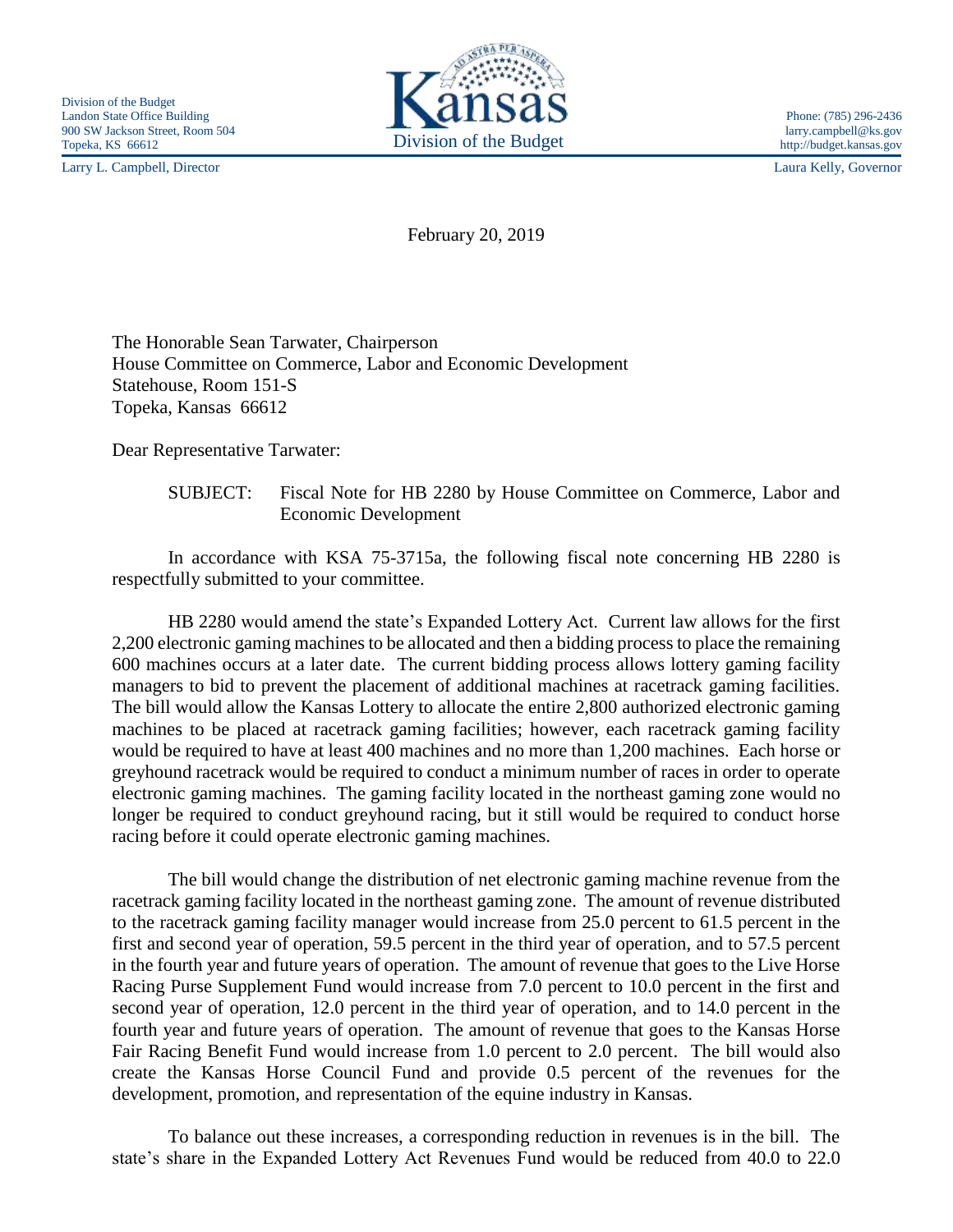Larry L. Campbell, Director Laura Kelly, Governor



http://budget.kansas.gov

February 20, 2019

The Honorable Sean Tarwater, Chairperson House Committee on Commerce, Labor and Economic Development Statehouse, Room 151-S Topeka, Kansas 66612

Dear Representative Tarwater:

## SUBJECT: Fiscal Note for HB 2280 by House Committee on Commerce, Labor and Economic Development

In accordance with KSA 75-3715a, the following fiscal note concerning HB 2280 is respectfully submitted to your committee.

HB 2280 would amend the state's Expanded Lottery Act. Current law allows for the first 2,200 electronic gaming machines to be allocated and then a bidding process to place the remaining 600 machines occurs at a later date. The current bidding process allows lottery gaming facility managers to bid to prevent the placement of additional machines at racetrack gaming facilities. The bill would allow the Kansas Lottery to allocate the entire 2,800 authorized electronic gaming machines to be placed at racetrack gaming facilities; however, each racetrack gaming facility would be required to have at least 400 machines and no more than 1,200 machines. Each horse or greyhound racetrack would be required to conduct a minimum number of races in order to operate electronic gaming machines. The gaming facility located in the northeast gaming zone would no longer be required to conduct greyhound racing, but it still would be required to conduct horse racing before it could operate electronic gaming machines.

The bill would change the distribution of net electronic gaming machine revenue from the racetrack gaming facility located in the northeast gaming zone. The amount of revenue distributed to the racetrack gaming facility manager would increase from 25.0 percent to 61.5 percent in the first and second year of operation, 59.5 percent in the third year of operation, and to 57.5 percent in the fourth year and future years of operation. The amount of revenue that goes to the Live Horse Racing Purse Supplement Fund would increase from 7.0 percent to 10.0 percent in the first and second year of operation, 12.0 percent in the third year of operation, and to 14.0 percent in the fourth year and future years of operation. The amount of revenue that goes to the Kansas Horse Fair Racing Benefit Fund would increase from 1.0 percent to 2.0 percent. The bill would also create the Kansas Horse Council Fund and provide 0.5 percent of the revenues for the development, promotion, and representation of the equine industry in Kansas.

To balance out these increases, a corresponding reduction in revenues is in the bill. The state's share in the Expanded Lottery Act Revenues Fund would be reduced from 40.0 to 22.0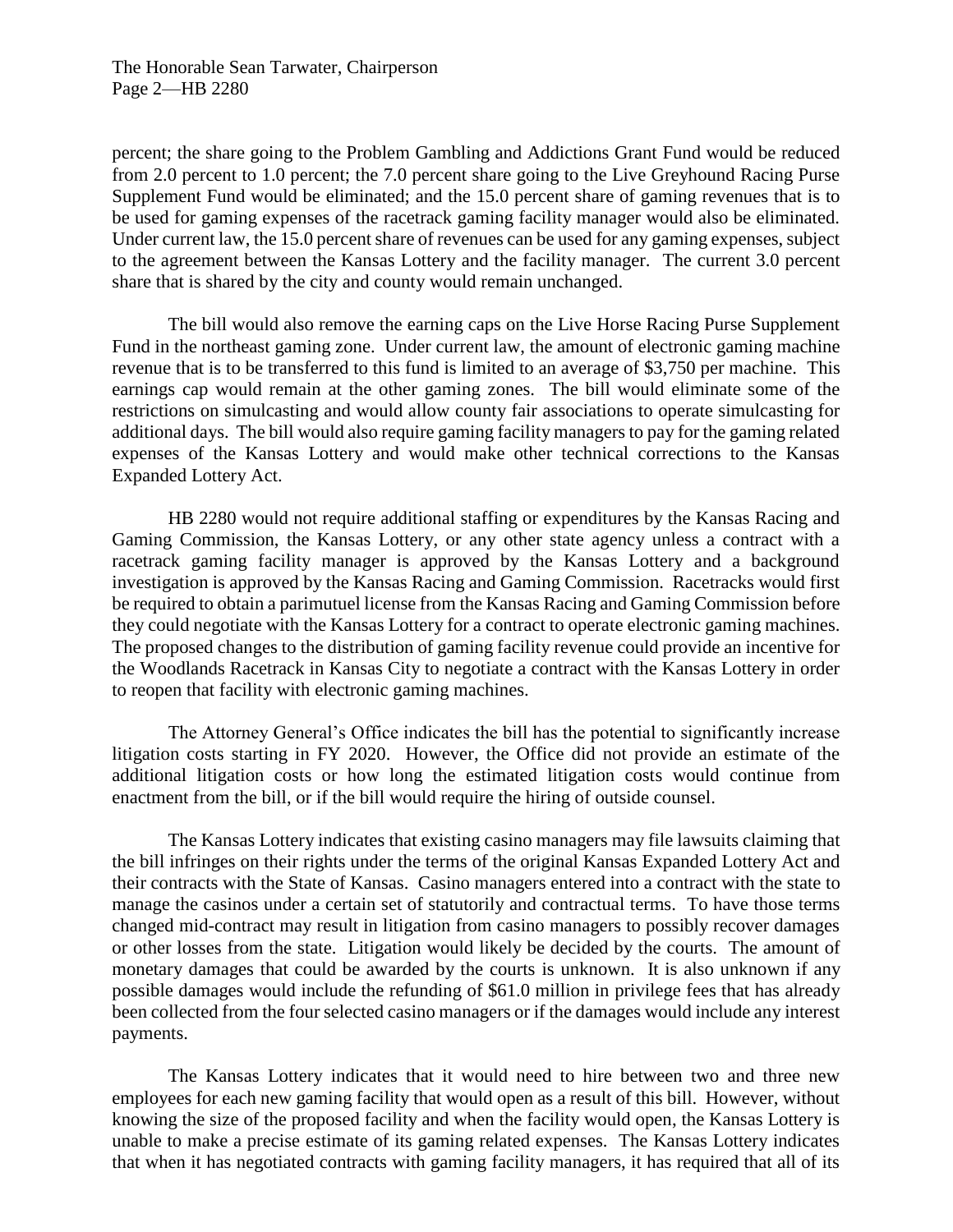percent; the share going to the Problem Gambling and Addictions Grant Fund would be reduced from 2.0 percent to 1.0 percent; the 7.0 percent share going to the Live Greyhound Racing Purse Supplement Fund would be eliminated; and the 15.0 percent share of gaming revenues that is to be used for gaming expenses of the racetrack gaming facility manager would also be eliminated. Under current law, the 15.0 percent share of revenues can be used for any gaming expenses, subject to the agreement between the Kansas Lottery and the facility manager. The current 3.0 percent share that is shared by the city and county would remain unchanged.

The bill would also remove the earning caps on the Live Horse Racing Purse Supplement Fund in the northeast gaming zone. Under current law, the amount of electronic gaming machine revenue that is to be transferred to this fund is limited to an average of \$3,750 per machine. This earnings cap would remain at the other gaming zones. The bill would eliminate some of the restrictions on simulcasting and would allow county fair associations to operate simulcasting for additional days. The bill would also require gaming facility managers to pay for the gaming related expenses of the Kansas Lottery and would make other technical corrections to the Kansas Expanded Lottery Act.

HB 2280 would not require additional staffing or expenditures by the Kansas Racing and Gaming Commission, the Kansas Lottery, or any other state agency unless a contract with a racetrack gaming facility manager is approved by the Kansas Lottery and a background investigation is approved by the Kansas Racing and Gaming Commission. Racetracks would first be required to obtain a parimutuel license from the Kansas Racing and Gaming Commission before they could negotiate with the Kansas Lottery for a contract to operate electronic gaming machines. The proposed changes to the distribution of gaming facility revenue could provide an incentive for the Woodlands Racetrack in Kansas City to negotiate a contract with the Kansas Lottery in order to reopen that facility with electronic gaming machines.

The Attorney General's Office indicates the bill has the potential to significantly increase litigation costs starting in FY 2020. However, the Office did not provide an estimate of the additional litigation costs or how long the estimated litigation costs would continue from enactment from the bill, or if the bill would require the hiring of outside counsel.

The Kansas Lottery indicates that existing casino managers may file lawsuits claiming that the bill infringes on their rights under the terms of the original Kansas Expanded Lottery Act and their contracts with the State of Kansas. Casino managers entered into a contract with the state to manage the casinos under a certain set of statutorily and contractual terms. To have those terms changed mid-contract may result in litigation from casino managers to possibly recover damages or other losses from the state. Litigation would likely be decided by the courts. The amount of monetary damages that could be awarded by the courts is unknown. It is also unknown if any possible damages would include the refunding of \$61.0 million in privilege fees that has already been collected from the four selected casino managers or if the damages would include any interest payments.

The Kansas Lottery indicates that it would need to hire between two and three new employees for each new gaming facility that would open as a result of this bill. However, without knowing the size of the proposed facility and when the facility would open, the Kansas Lottery is unable to make a precise estimate of its gaming related expenses. The Kansas Lottery indicates that when it has negotiated contracts with gaming facility managers, it has required that all of its